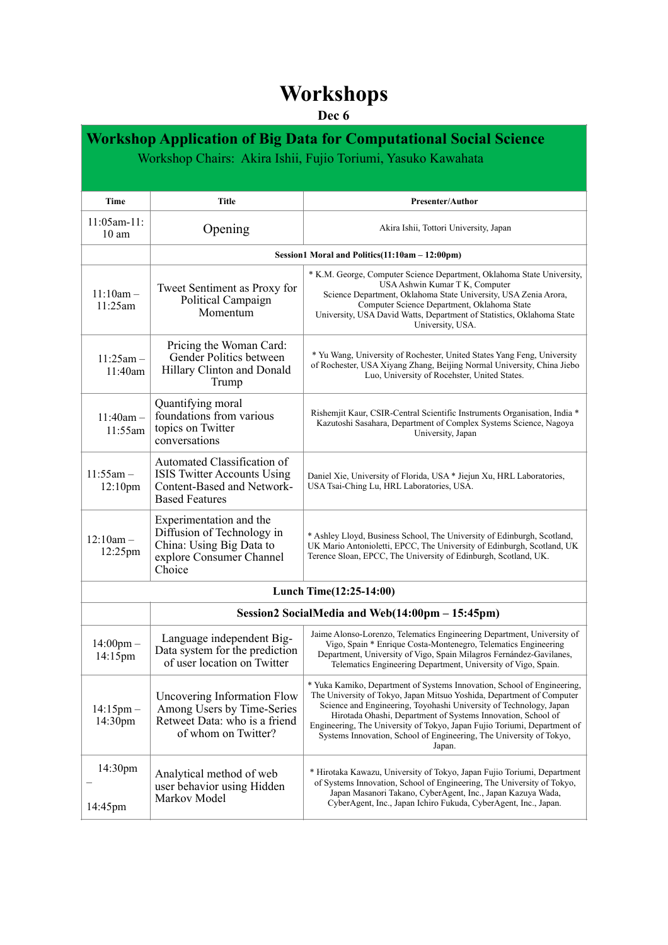## **Workshops**

## **Dec 6**

| <b>Workshop Application of Big Data for Computational Social Science</b> |                                                                                                                         |                                                                                                                                                                                                                                                                                                                                                                                                                                                     |  |  |
|--------------------------------------------------------------------------|-------------------------------------------------------------------------------------------------------------------------|-----------------------------------------------------------------------------------------------------------------------------------------------------------------------------------------------------------------------------------------------------------------------------------------------------------------------------------------------------------------------------------------------------------------------------------------------------|--|--|
| Workshop Chairs: Akira Ishii, Fujio Toriumi, Yasuko Kawahata             |                                                                                                                         |                                                                                                                                                                                                                                                                                                                                                                                                                                                     |  |  |
|                                                                          |                                                                                                                         |                                                                                                                                                                                                                                                                                                                                                                                                                                                     |  |  |
| Time                                                                     | <b>Title</b>                                                                                                            | <b>Presenter/Author</b>                                                                                                                                                                                                                                                                                                                                                                                                                             |  |  |
| $11:05$ am- $11:$<br>$10 \text{ am}$                                     | Opening                                                                                                                 | Akira Ishii, Tottori University, Japan                                                                                                                                                                                                                                                                                                                                                                                                              |  |  |
|                                                                          | Session1 Moral and Politics(11:10am - 12:00pm)                                                                          |                                                                                                                                                                                                                                                                                                                                                                                                                                                     |  |  |
| $11:10am -$<br>$11:25$ am                                                | Tweet Sentiment as Proxy for<br>Political Campaign<br>Momentum                                                          | * K.M. George, Computer Science Department, Oklahoma State University,<br>USA Ashwin Kumar T K, Computer<br>Science Department, Oklahoma State University, USA Zenia Arora,<br>Computer Science Department, Oklahoma State<br>University, USA David Watts, Department of Statistics, Oklahoma State<br>University, USA.                                                                                                                             |  |  |
| $11:25am -$<br>11:40am                                                   | Pricing the Woman Card:<br>Gender Politics between<br>Hillary Clinton and Donald<br>Trump                               | * Yu Wang, University of Rochester, United States Yang Feng, University<br>of Rochester, USA Xiyang Zhang, Beijing Normal University, China Jiebo<br>Luo, University of Rocehster, United States.                                                                                                                                                                                                                                                   |  |  |
| $11:40am -$<br>11:55am                                                   | Quantifying moral<br>foundations from various<br>topics on Twitter<br>conversations                                     | Rishemjit Kaur, CSIR-Central Scientific Instruments Organisation, India *<br>Kazutoshi Sasahara, Department of Complex Systems Science, Nagoya<br>University, Japan                                                                                                                                                                                                                                                                                 |  |  |
| $11:55am -$<br>12:10 <sub>pm</sub>                                       | Automated Classification of<br>ISIS Twitter Accounts Using<br>Content-Based and Network-<br><b>Based Features</b>       | Daniel Xie, University of Florida, USA * Jiejun Xu, HRL Laboratories,<br>USA Tsai-Ching Lu, HRL Laboratories, USA.                                                                                                                                                                                                                                                                                                                                  |  |  |
| $12:10am -$<br>12:25pm                                                   | Experimentation and the<br>Diffusion of Technology in<br>China: Using Big Data to<br>explore Consumer Channel<br>Choice | * Ashley Lloyd, Business School, The University of Edinburgh, Scotland,<br>UK Mario Antonioletti, EPCC, The University of Edinburgh, Scotland, UK<br>Terence Sloan, EPCC, The University of Edinburgh, Scotland, UK.                                                                                                                                                                                                                                |  |  |
| Lunch Time(12:25-14:00)                                                  |                                                                                                                         |                                                                                                                                                                                                                                                                                                                                                                                                                                                     |  |  |
| Session2 SocialMedia and Web(14:00pm – 15:45pm)                          |                                                                                                                         |                                                                                                                                                                                                                                                                                                                                                                                                                                                     |  |  |
| $14:00 \text{pm} -$<br>$14:15$ pm                                        | Language independent Big-<br>Data system for the prediction<br>of user location on Twitter                              | Jaime Alonso-Lorenzo, Telematics Engineering Department, University of<br>Vigo, Spain * Enrique Costa-Montenegro, Telematics Engineering<br>Department, University of Vigo, Spain Milagros Fernández-Gavilanes,<br>Telematics Engineering Department, University of Vigo, Spain.                                                                                                                                                                    |  |  |
| $14:15 \text{pm} -$<br>14:30pm                                           | Uncovering Information Flow<br>Among Users by Time-Series<br>Retweet Data: who is a friend<br>of whom on Twitter?       | * Yuka Kamiko, Department of Systems Innovation, School of Engineering,<br>The University of Tokyo, Japan Mitsuo Yoshida, Department of Computer<br>Science and Engineering, Toyohashi University of Technology, Japan<br>Hirotada Ohashi, Department of Systems Innovation, School of<br>Engineering, The University of Tokyo, Japan Fujio Toriumi, Department of<br>Systems Innovation, School of Engineering, The University of Tokyo,<br>Japan. |  |  |
| 14:30pm<br>14:45pm                                                       | Analytical method of web<br>user behavior using Hidden<br>Markov Model                                                  | * Hirotaka Kawazu, University of Tokyo, Japan Fujio Toriumi, Department<br>of Systems Innovation, School of Engineering, The University of Tokyo,<br>Japan Masanori Takano, CyberAgent, Inc., Japan Kazuya Wada,<br>CyberAgent, Inc., Japan Ichiro Fukuda, CyberAgent, Inc., Japan.                                                                                                                                                                 |  |  |